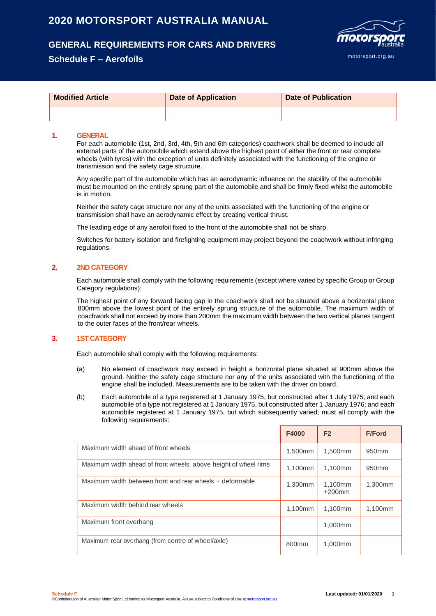# **2020 MOTORSPORT AUSTRALIA MANUAL**

# **GENERAL REQUIREMENTS FOR CARS AND DRIVERS**

## **Schedule F – Aerofoils**



| <b>Modified Article</b> | <b>Date of Application</b> | <b>Date of Publication</b> |
|-------------------------|----------------------------|----------------------------|
|                         |                            |                            |

#### **1. GENERAL**

For each automobile (1st, 2nd, 3rd, 4th, 5th and 6th categories) coachwork shall be deemed to include all external parts of the automobile which extend above the highest point of either the front or rear complete wheels (with tyres) with the exception of units definitely associated with the functioning of the engine or transmission and the safety cage structure.

Any specific part of the automobile which has an aerodynamic influence on the stability of the automobile must be mounted on the entirely sprung part of the automobile and shall be firmly fixed whilst the automobile is in motion.

Neither the safety cage structure nor any of the units associated with the functioning of the engine or transmission shall have an aerodynamic effect by creating vertical thrust.

The leading edge of any aerofoil fixed to the front of the automobile shall not be sharp.

Switches for battery isolation and firefighting equipment may project beyond the coachwork without infringing regulations.

### **2. 2ND CATEGORY**

Each automobile shall comply with the following requirements (except where varied by specific Group or Group Category regulations):

The highest point of any forward facing gap in the coachwork shall not be situated above a horizontal plane 800mm above the lowest point of the entirely sprung structure of the automobile. The maximum width of coachwork shall not exceed by more than 200mm the maximum width between the two vertical planes tangent to the outer faces of the front/rear wheels.

### **3. 1ST CATEGORY**

Each automobile shall comply with the following requirements:

- (a) No element of coachwork may exceed in height a horizontal plane situated at 900mm above the ground. Neither the safety cage structure nor any of the units associated with the functioning of the engine shall be included. Measurements are to be taken with the driver on board.
- (b) Each automobile of a type registered at 1 January 1975, but constructed after 1 July 1975; and each automobile of a type not registered at 1 January 1975, but constructed after 1 January 1976; and each automobile registered at 1 January 1975, but which subsequently varied; must all comply with the following requirements:

|                                                                 | F4000             | F <sub>2</sub>       | <b>F/Ford</b>     |
|-----------------------------------------------------------------|-------------------|----------------------|-------------------|
| Maximum width ahead of front wheels                             | 1.500mm           | 1,500mm              | 950 <sub>mm</sub> |
| Maximum width ahead of front wheels, above height of wheel rims | 1.100mm           | 1.100mm              | 950 <sub>mm</sub> |
| Maximum width between front and rear wheels + deformable        | 1.300mm           | 1,100mm<br>$+200$ mm | 1,300mm           |
| Maximum width behind rear wheels                                | 1.100mm           | 1.100mm              | 1,100mm           |
| Maximum front overhang                                          |                   | 1,000mm              |                   |
| Maximum rear overhang (from centre of wheel/axle)               | 800 <sub>mm</sub> | 1,000mm              |                   |